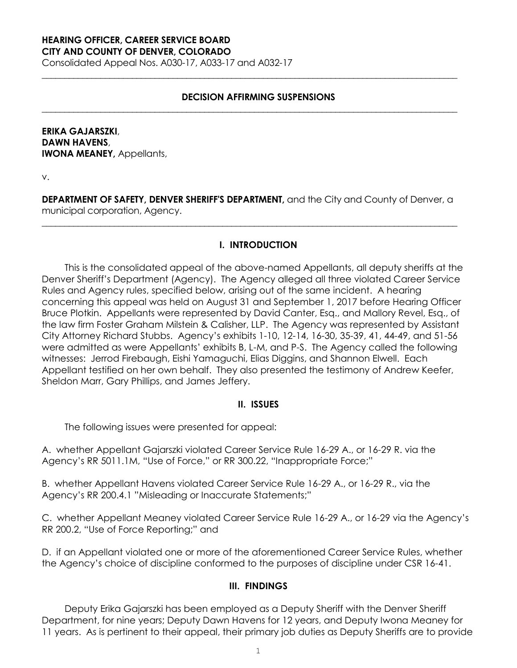#### **HEARING OFFICER, CAREER SERVICE BOARD CITY AND COUNTY OF DENVER, COLORADO**

Consolidated Appeal Nos. A030-17, A033-17 and A032-17

## **DECISION AFFIRMING SUSPENSIONS**

**\_\_\_\_\_\_\_\_\_\_\_\_\_\_\_\_\_\_\_\_\_\_\_\_\_\_\_\_\_\_\_\_\_\_\_\_\_\_\_\_\_\_\_\_\_\_\_\_\_\_\_\_\_\_\_\_\_\_\_\_\_\_\_\_\_\_\_\_\_\_\_\_\_\_\_\_\_\_\_\_\_\_\_\_\_\_\_\_\_\_\_\_**

**\_\_\_\_\_\_\_\_\_\_\_\_\_\_\_\_\_\_\_\_\_\_\_\_\_\_\_\_\_\_\_\_\_\_\_\_\_\_\_\_\_\_\_\_\_\_\_\_\_\_\_\_\_\_\_\_\_\_\_\_\_\_\_\_\_\_\_\_\_\_\_\_\_\_\_\_\_\_\_\_\_\_\_\_\_\_\_\_\_\_\_\_**

## **ERIKA GAJARSZKI**, **DAWN HAVENS**, **IWONA MEANEY,** Appellants,

v.

**DEPARTMENT OF SAFETY, DENVER SHERIFF'S DEPARTMENT,** and the City and County of Denver, a municipal corporation, Agency.

**\_\_\_\_\_\_\_\_\_\_\_\_\_\_\_\_\_\_\_\_\_\_\_\_\_\_\_\_\_\_\_\_\_\_\_\_\_\_\_\_\_\_\_\_\_\_\_\_\_\_\_\_\_\_\_\_\_\_\_\_\_\_\_\_\_\_\_\_\_\_\_\_\_\_\_\_\_\_\_\_\_\_\_\_\_\_\_\_\_\_\_\_**

### **I. INTRODUCTION**

This is the consolidated appeal of the above-named Appellants, all deputy sheriffs at the Denver Sheriff's Department (Agency). The Agency alleged all three violated Career Service Rules and Agency rules, specified below, arising out of the same incident. A hearing concerning this appeal was held on August 31 and September 1, 2017 before Hearing Officer Bruce Plotkin. Appellants were represented by David Canter, Esq., and Mallory Revel, Esq., of the law firm Foster Graham Milstein & Calisher, LLP. The Agency was represented by Assistant City Attorney Richard Stubbs. Agency's exhibits 1-10, 12-14, 16-30, 35-39, 41, 44-49, and 51-56 were admitted as were Appellants' exhibits B, L-M, and P-S. The Agency called the following witnesses: Jerrod Firebaugh, Eishi Yamaguchi, Elias Diggins, and Shannon Elwell. Each Appellant testified on her own behalf. They also presented the testimony of Andrew Keefer, Sheldon Marr, Gary Phillips, and James Jeffery.

#### **II. ISSUES**

The following issues were presented for appeal:

A. whether Appellant Gajarszki violated Career Service Rule 16-29 A., or 16-29 R. via the Agency's RR 5011.1M, "Use of Force," or RR 300.22, "Inappropriate Force;"

B. whether Appellant Havens violated Career Service Rule 16-29 A., or 16-29 R., via the Agency's RR 200.4.1 "Misleading or Inaccurate Statements;"

C. whether Appellant Meaney violated Career Service Rule 16-29 A., or 16-29 via the Agency's RR 200.2, "Use of Force Reporting;" and

D. if an Appellant violated one or more of the aforementioned Career Service Rules, whether the Agency's choice of discipline conformed to the purposes of discipline under CSR 16-41.

#### **III. FINDINGS**

Deputy Erika Gajarszki has been employed as a Deputy Sheriff with the Denver Sheriff Department, for nine years; Deputy Dawn Havens for 12 years, and Deputy Iwona Meaney for 11 years. As is pertinent to their appeal, their primary job duties as Deputy Sheriffs are to provide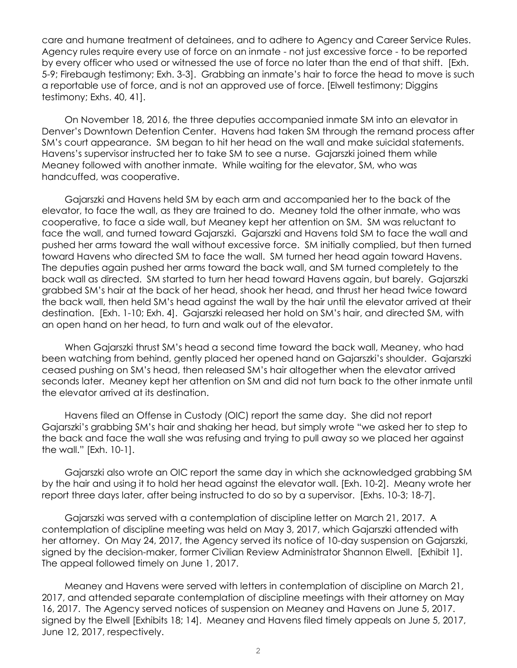care and humane treatment of detainees, and to adhere to Agency and Career Service Rules. Agency rules require every use of force on an inmate - not just excessive force - to be reported by every officer who used or witnessed the use of force no later than the end of that shift. [Exh. 5-9; Firebaugh testimony; Exh. 3-3]. Grabbing an inmate's hair to force the head to move is such a reportable use of force, and is not an approved use of force. [Elwell testimony; Diggins testimony; Exhs. 40, 41].

On November 18, 2016, the three deputies accompanied inmate SM into an elevator in Denver's Downtown Detention Center. Havens had taken SM through the remand process after SM's court appearance. SM began to hit her head on the wall and make suicidal statements. Havens's supervisor instructed her to take SM to see a nurse. Gajarszki joined them while Meaney followed with another inmate. While waiting for the elevator, SM, who was handcuffed, was cooperative.

Gajarszki and Havens held SM by each arm and accompanied her to the back of the elevator, to face the wall, as they are trained to do. Meaney told the other inmate, who was cooperative, to face a side wall, but Meaney kept her attention on SM. SM was reluctant to face the wall, and turned toward Gajarszki. Gajarszki and Havens told SM to face the wall and pushed her arms toward the wall without excessive force. SM initially complied, but then turned toward Havens who directed SM to face the wall. SM turned her head again toward Havens. The deputies again pushed her arms toward the back wall, and SM turned completely to the back wall as directed. SM started to turn her head toward Havens again, but barely. Gajarszki grabbed SM's hair at the back of her head, shook her head, and thrust her head twice toward the back wall, then held SM's head against the wall by the hair until the elevator arrived at their destination. [Exh. 1-10; Exh. 4]. Gajarszki released her hold on SM's hair, and directed SM, with an open hand on her head, to turn and walk out of the elevator.

When Gajarszki thrust SM's head a second time toward the back wall, Meaney, who had been watching from behind, gently placed her opened hand on Gajarszki's shoulder. Gajarszki ceased pushing on SM's head, then released SM's hair altogether when the elevator arrived seconds later. Meaney kept her attention on SM and did not turn back to the other inmate until the elevator arrived at its destination.

Havens filed an Offense in Custody (OIC) report the same day. She did not report Gajarszki's grabbing SM's hair and shaking her head, but simply wrote "we asked her to step to the back and face the wall she was refusing and trying to pull away so we placed her against the wall." [Exh. 10-1].

Gajarszki also wrote an OIC report the same day in which she acknowledged grabbing SM by the hair and using it to hold her head against the elevator wall. [Exh. 10-2]. Meany wrote her report three days later, after being instructed to do so by a supervisor. [Exhs. 10-3; 18-7].

Gajarszki was served with a contemplation of discipline letter on March 21, 2017. A contemplation of discipline meeting was held on May 3, 2017, which Gajarszki attended with her attorney. On May 24, 2017, the Agency served its notice of 10-day suspension on Gajarszki, signed by the decision-maker, former Civilian Review Administrator Shannon Elwell. [Exhibit 1]. The appeal followed timely on June 1, 2017.

Meaney and Havens were served with letters in contemplation of discipline on March 21, 2017, and attended separate contemplation of discipline meetings with their attorney on May 16, 2017. The Agency served notices of suspension on Meaney and Havens on June 5, 2017. signed by the Elwell [Exhibits 18; 14]. Meaney and Havens filed timely appeals on June 5, 2017, June 12, 2017, respectively.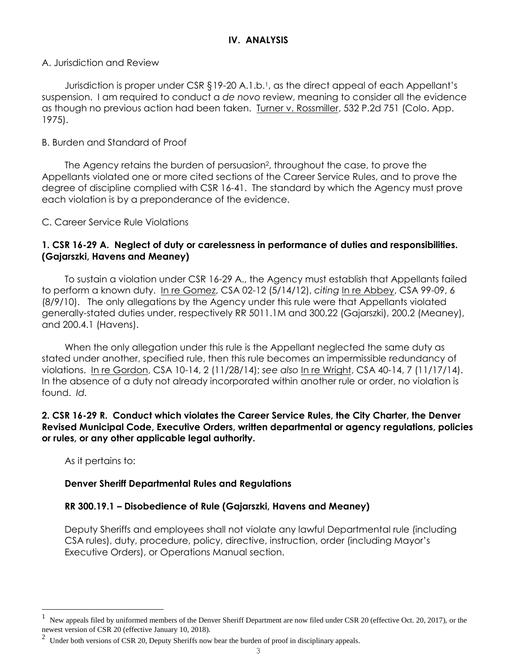## A. Jurisdiction and Review

Jurisdiction is proper under CSR §19-20 A.1.b.<sup>1</sup>, as the direct appeal of each Appellant's suspension. I am required to conduct a *de novo* review, meaning to consider all the evidence as though no previous action had been taken. Turner v. Rossmiller, 532 P.2d 751 (Colo. App. 1975).

## B. Burden and Standard of Proof

The Agency retains the burden of persuasion<sup>2</sup>, throughout the case, to prove the Appellants violated one or more cited sections of the Career Service Rules, and to prove the degree of discipline complied with CSR 16-41. The standard by which the Agency must prove each violation is by a preponderance of the evidence.

C. Career Service Rule Violations

## **1. CSR 16-29 A. Neglect of duty or carelessness in performance of duties and responsibilities. (Gajarszki, Havens and Meaney)**

To sustain a violation under CSR 16-29 A., the Agency must establish that Appellants failed to perform a known duty. In re Gomez, CSA 02-12 (5/14/12), *citing* In re Abbey, CSA 99-09, 6 (8/9/10). The only allegations by the Agency under this rule were that Appellants violated generally-stated duties under, respectively RR 5011.1M and 300.22 (Gajarszki), 200.2 (Meaney), and 200.4.1 (Havens).

When the only allegation under this rule is the Appellant neglected the same duty as stated under another, specified rule, then this rule becomes an impermissible redundancy of violations. In re Gordon, CSA 10-14, 2 (11/28/14); *see also* In re Wright, CSA 40-14, 7 (11/17/14). In the absence of a duty not already incorporated within another rule or order, no violation is found. *Id.*

## **2. CSR 16-29 R. Conduct which violates the Career Service Rules, the City Charter, the Denver Revised Municipal Code, Executive Orders, written departmental or agency regulations, policies or rules, or any other applicable legal authority.**

As it pertains to:

L

# **Denver Sheriff Departmental Rules and Regulations**

# **RR 300.19.1 – Disobedience of Rule (Gajarszki, Havens and Meaney)**

Deputy Sheriffs and employees shall not violate any lawful Departmental rule (including CSA rules), duty, procedure, policy, directive, instruction, order (including Mayor's Executive Orders), or Operations Manual section.

<sup>1</sup> New appeals filed by uniformed members of the Denver Sheriff Department are now filed under CSR 20 (effective Oct. 20, 2017), or the newest version of CSR 20 (effective January 10, 2018).

 $2$  Under both versions of CSR 20, Deputy Sheriffs now bear the burden of proof in disciplinary appeals.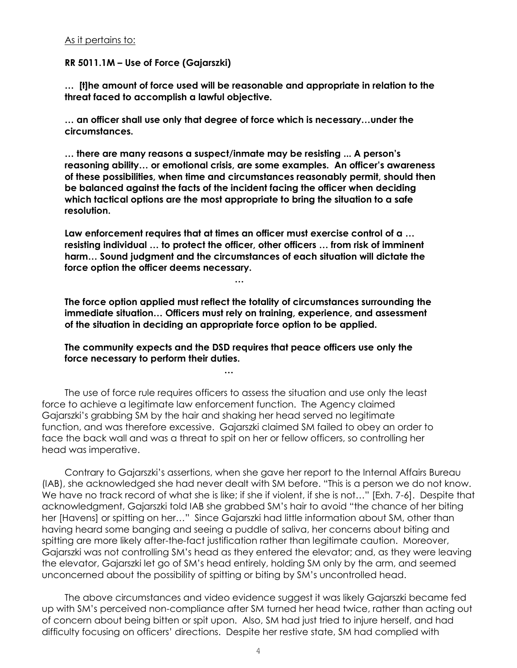### As it pertains to:

### **RR 5011.1M – Use of Force (Gajarszki)**

**… [t]he amount of force used will be reasonable and appropriate in relation to the threat faced to accomplish a lawful objective.** 

**… an officer shall use only that degree of force which is necessary…under the circumstances.**

**… there are many reasons a suspect/inmate may be resisting ... A person's reasoning ability… or emotional crisis, are some examples. An officer's awareness of these possibilities, when time and circumstances reasonably permit, should then be balanced against the facts of the incident facing the officer when deciding which tactical options are the most appropriate to bring the situation to a safe resolution.** 

**Law enforcement requires that at times an officer must exercise control of a … resisting individual … to protect the officer, other officers … from risk of imminent harm… Sound judgment and the circumstances of each situation will dictate the force option the officer deems necessary.** 

**…**

**The force option applied must reflect the totality of circumstances surrounding the immediate situation… Officers must rely on training, experience, and assessment of the situation in deciding an appropriate force option to be applied.** 

**The community expects and the DSD requires that peace officers use only the force necessary to perform their duties.** 

**…**

The use of force rule requires officers to assess the situation and use only the least force to achieve a legitimate law enforcement function. The Agency claimed Gajarszki's grabbing SM by the hair and shaking her head served no legitimate function, and was therefore excessive. Gajarszki claimed SM failed to obey an order to face the back wall and was a threat to spit on her or fellow officers, so controlling her head was imperative.

Contrary to Gajarszki's assertions, when she gave her report to the Internal Affairs Bureau (IAB), she acknowledged she had never dealt with SM before. "This is a person we do not know. We have no track record of what she is like; if she if violent, if she is not…" [Exh. 7-6]. Despite that acknowledgment, Gajarszki told IAB she grabbed SM's hair to avoid "the chance of her biting her [Havens] or spitting on her…" Since Gajarszki had little information about SM, other than having heard some banging and seeing a puddle of saliva, her concerns about biting and spitting are more likely after-the-fact justification rather than legitimate caution. Moreover, Gajarszki was not controlling SM's head as they entered the elevator; and, as they were leaving the elevator, Gajarszki let go of SM's head entirely, holding SM only by the arm, and seemed unconcerned about the possibility of spitting or biting by SM's uncontrolled head.

The above circumstances and video evidence suggest it was likely Gajarszki became fed up with SM's perceived non-compliance after SM turned her head twice, rather than acting out of concern about being bitten or spit upon. Also, SM had just tried to injure herself, and had difficulty focusing on officers' directions. Despite her restive state, SM had complied with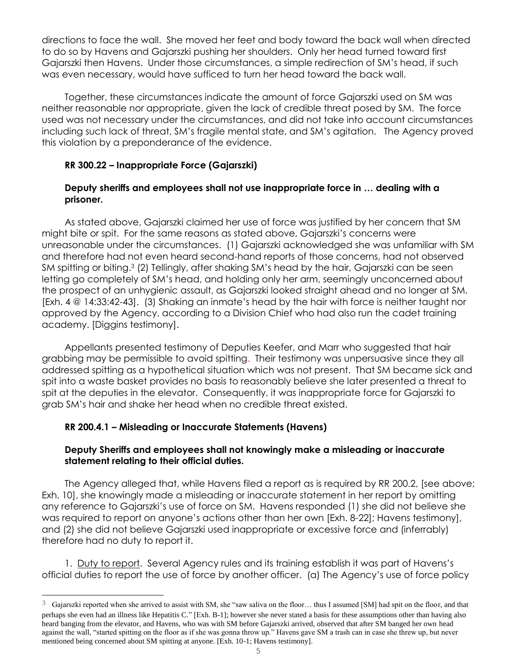directions to face the wall. She moved her feet and body toward the back wall when directed to do so by Havens and Gajarszki pushing her shoulders. Only her head turned toward first Gajarszki then Havens. Under those circumstances, a simple redirection of SM's head, if such was even necessary, would have sufficed to turn her head toward the back wall.

Together, these circumstances indicate the amount of force Gajarszki used on SM was neither reasonable nor appropriate, given the lack of credible threat posed by SM. The force used was not necessary under the circumstances, and did not take into account circumstances including such lack of threat, SM's fragile mental state, and SM's agitation. The Agency proved this violation by a preponderance of the evidence.

## **RR 300.22 – Inappropriate Force (Gajarszki)**

## **Deputy sheriffs and employees shall not use inappropriate force in … dealing with a prisoner.**

As stated above, Gajarszki claimed her use of force was justified by her concern that SM might bite or spit. For the same reasons as stated above, Gajarszki's concerns were unreasonable under the circumstances. (1) Gajarszki acknowledged she was unfamiliar with SM and therefore had not even heard second-hand reports of those concerns, had not observed SM spitting or biting. <sup>3</sup> (2) Tellingly, after shaking SM's head by the hair, Gajarszki can be seen letting go completely of SM's head, and holding only her arm, seemingly unconcerned about the prospect of an unhygienic assault, as Gajarszki looked straight ahead and no longer at SM. [Exh. 4 @ 14:33:42-43]. (3) Shaking an inmate's head by the hair with force is neither taught nor approved by the Agency, according to a Division Chief who had also run the cadet training academy. [Diggins testimony].

Appellants presented testimony of Deputies Keefer, and Marr who suggested that hair grabbing may be permissible to avoid spitting. Their testimony was unpersuasive since they all addressed spitting as a hypothetical situation which was not present. That SM became sick and spit into a waste basket provides no basis to reasonably believe she later presented a threat to spit at the deputies in the elevator. Consequently, it was inappropriate force for Gajarszki to grab SM's hair and shake her head when no credible threat existed.

# **RR 200.4.1 – Misleading or Inaccurate Statements (Havens)**

L,

## **Deputy Sheriffs and employees shall not knowingly make a misleading or inaccurate statement relating to their official duties.**

The Agency alleged that, while Havens filed a report as is required by RR 200.2, [see above; Exh. 10], she knowingly made a misleading or inaccurate statement in her report by omitting any reference to Gajarszki's use of force on SM. Havens responded (1) she did not believe she was required to report on anyone's actions other than her own [Exh. 8-22]; Havens testimony], and (2) she did not believe Gajarszki used inappropriate or excessive force and (inferrably) therefore had no duty to report it.

1. Duty to report. Several Agency rules and its training establish it was part of Havens's official duties to report the use of force by another officer. (a) The Agency's use of force policy

 $3$  Gajarszki reported when she arrived to assist with SM, she "saw saliva on the floor... thus I assumed [SM] had spit on the floor, and that perhaps she even had an illness like Hepatitis C." [Exh. B-1]; however she never stated a basis for these assumptions other than having also heard banging from the elevator, and Havens, who was with SM before Gajarszki arrived, observed that after SM banged her own head against the wall, "started spitting on the floor as if she was gonna throw up." Havens gave SM a trash can in case she threw up, but never mentioned being concerned about SM spitting at anyone. [Exh. 10-1; Havens testimony].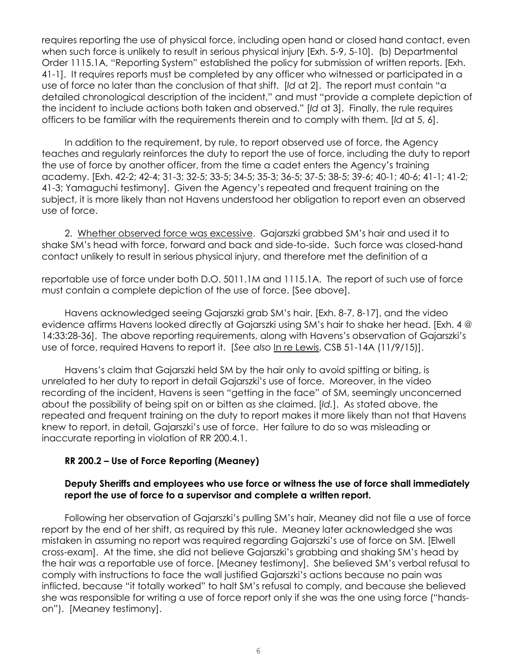requires reporting the use of physical force, including open hand or closed hand contact, even when such force is unlikely to result in serious physical injury [Exh. 5-9, 5-10]. (b) Departmental Order 1115.1A, "Reporting System" established the policy for submission of written reports. [Exh. 41-1]. It requires reports must be completed by any officer who witnessed or participated in a use of force no later than the conclusion of that shift. [*Id* at 2]. The report must contain "a detailed chronological description of the incident," and must "provide a complete depiction of the incident to include actions both taken and observed." [*Id* at 3]. Finally, the rule requires officers to be familiar with the requirements therein and to comply with them. [*Id* at 5, 6].

In addition to the requirement, by rule, to report observed use of force, the Agency teaches and regularly reinforces the duty to report the use of force, including the duty to report the use of force by another officer, from the time a cadet enters the Agency's training academy. [Exh. 42-2; 42-4; 31-3; 32-5; 33-5; 34-5; 35-3; 36-5; 37-5; 38-5; 39-6; 40-1; 40-6; 41-1; 41-2; 41-3; Yamaguchi testimony]. Given the Agency's repeated and frequent training on the subject, it is more likely than not Havens understood her obligation to report even an observed use of force.

2. Whether observed force was excessive. Gajarszki grabbed SM's hair and used it to shake SM's head with force, forward and back and side-to-side. Such force was closed-hand contact unlikely to result in serious physical injury, and therefore met the definition of a

reportable use of force under both D.O. 5011.1M and 1115.1A. The report of such use of force must contain a complete depiction of the use of force. [See above].

Havens acknowledged seeing Gajarszki grab SM's hair. [Exh. 8-7, 8-17], and the video evidence affirms Havens looked directly at Gajarszki using SM's hair to shake her head. [Exh. 4 @ 14:33:28-36]. The above reporting requirements, along with Havens's observation of Gajarszki's use of force, required Havens to report it. [*See also* In re Lewis, CSB 51-14A (11/9/15)].

Havens's claim that Gajarszki held SM by the hair only to avoid spitting or biting, is unrelated to her duty to report in detail Gajarszki's use of force. Moreover, in the video recording of the incident, Havens is seen "getting in the face" of SM, seemingly unconcerned about the possibility of being spit on or bitten as she claimed. [*Id.*]. As stated above, the repeated and frequent training on the duty to report makes it more likely than not that Havens knew to report, in detail, Gajarszki's use of force. Her failure to do so was misleading or inaccurate reporting in violation of RR 200.4.1.

## **RR 200.2 – Use of Force Reporting (Meaney)**

## **Deputy Sheriffs and employees who use force or witness the use of force shall immediately report the use of force to a supervisor and complete a written report.**

Following her observation of Gajarszki's pulling SM's hair, Meaney did not file a use of force report by the end of her shift, as required by this rule. Meaney later acknowledged she was mistaken in assuming no report was required regarding Gajarszki's use of force on SM. [Elwell cross-exam]. At the time, she did not believe Gajarszki's grabbing and shaking SM's head by the hair was a reportable use of force. [Meaney testimony]. She believed SM's verbal refusal to comply with instructions to face the wall justified Gajarszki's actions because no pain was inflicted, because "it totally worked" to halt SM's refusal to comply, and because she believed she was responsible for writing a use of force report only if she was the one using force ("handson"). [Meaney testimony].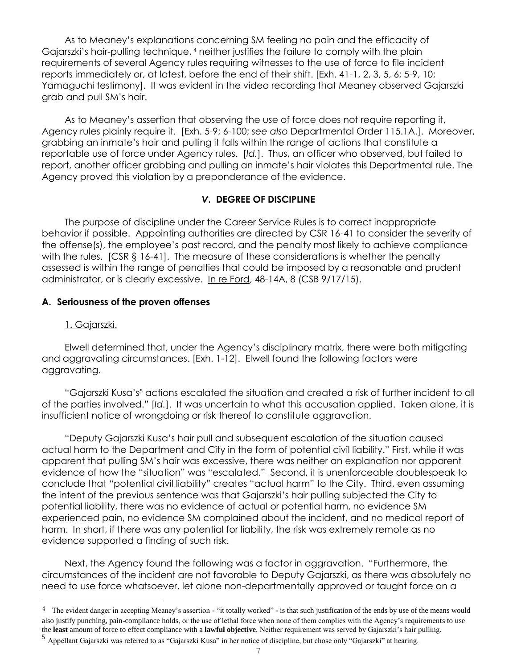As to Meaney's explanations concerning SM feeling no pain and the efficacity of Gajarszki's hair-pulling technique, <sup>4</sup> neither justifies the failure to comply with the plain requirements of several Agency rules requiring witnesses to the use of force to file incident reports immediately or, at latest, before the end of their shift. [Exh. 41-1, 2, 3, 5, 6; 5-9, 10; Yamaguchi testimony]. It was evident in the video recording that Meaney observed Gajarszki grab and pull SM's hair.

As to Meaney's assertion that observing the use of force does not require reporting it, Agency rules plainly require it. [Exh. 5-9; 6-100; *see also* Departmental Order 115.1A.]. Moreover, grabbing an inmate's hair and pulling it falls within the range of actions that constitute a reportable use of force under Agency rules. [*Id.*]. Thus, an officer who observed, but failed to report, another officer grabbing and pulling an inmate's hair violates this Departmental rule. The Agency proved this violation by a preponderance of the evidence.

## *V***. DEGREE OF DISCIPLINE**

The purpose of discipline under the Career Service Rules is to correct inappropriate behavior if possible. Appointing authorities are directed by CSR 16-41 to consider the severity of the offense(s), the employee's past record, and the penalty most likely to achieve compliance with the rules.  $[CSR & 16-41]$ . The measure of these considerations is whether the penalty assessed is within the range of penalties that could be imposed by a reasonable and prudent administrator, or is clearly excessive. In re Ford, 48-14A, 8 (CSB 9/17/15).

## **A. Seriousness of the proven offenses**

### 1. Gajarszki.

L

Elwell determined that, under the Agency's disciplinary matrix, there were both mitigating and aggravating circumstances. [Exh. 1-12]. Elwell found the following factors were aggravating.

"Gajarszki Kusa's<sup>5</sup> actions escalated the situation and created a risk of further incident to all of the parties involved." [*Id.*]. It was uncertain to what this accusation applied. Taken alone, it is insufficient notice of wrongdoing or risk thereof to constitute aggravation.

"Deputy Gajarszki Kusa's hair pull and subsequent escalation of the situation caused actual harm to the Department and City in the form of potential civil liability." First, while it was apparent that pulling SM's hair was excessive, there was neither an explanation nor apparent evidence of how the "situation" was "escalated." Second, it is unenforceable doublespeak to conclude that "potential civil liability" creates "actual harm" to the City. Third, even assuming the intent of the previous sentence was that Gajarszki's hair pulling subjected the City to potential liability, there was no evidence of actual or potential harm, no evidence SM experienced pain, no evidence SM complained about the incident, and no medical report of harm. In short, if there was any potential for liability, the risk was extremely remote as no evidence supported a finding of such risk.

Next, the Agency found the following was a factor in aggravation. "Furthermore, the circumstances of the incident are not favorable to Deputy Gajarszki, as there was absolutely no need to use force whatsoever, let alone non-departmentally approved or taught force on a

<sup>&</sup>lt;sup>4</sup> The evident danger in accepting Meaney's assertion - "it totally worked" - is that such justification of the ends by use of the means would also justify punching, pain-compliance holds, or the use of lethal force when none of them complies with the Agency's requirements to use the **least** amount of force to effect compliance with a **lawful objective**. Neither requirement was served by Gajarszki's hair pulling.

<sup>5</sup> Appellant Gajarszki was referred to as "Gajarszki Kusa" in her notice of discipline, but chose only "Gajarszki" at hearing.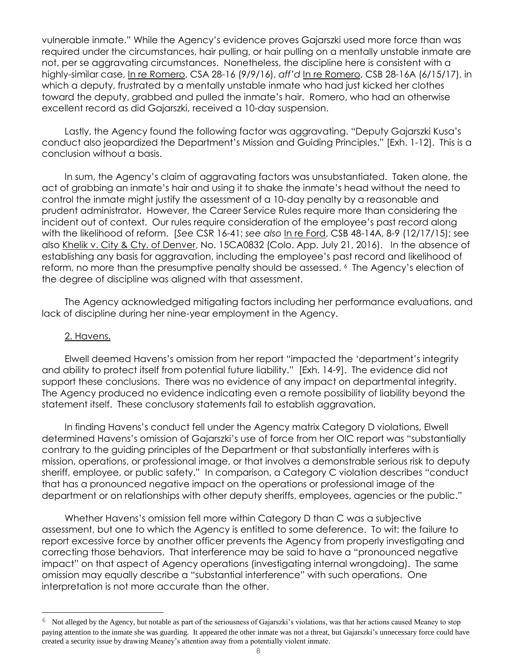vulnerable inmate." While the Agency's evidence proves Gajarszki used more force than was required under the circumstances, hair pulling, or hair pulling on a mentally unstable inmate are not, per se aggravating circumstances. Nonetheless, the discipline here is consistent with a highly-similar case, In re Romero, CSA 28-16 (9/9/16), *aff'd* In re Romero, CSB 28-16A (6/15/17), in which a deputy, frustrated by a mentally unstable inmate who had just kicked her clothes toward the deputy, grabbed and pulled the inmate's hair. Romero, who had an otherwise excellent record as did Gajarszki, received a 10-day suspension.

Lastly, the Agency found the following factor was aggravating. "Deputy Gajarszki Kusa's conduct also jeopardized the Department's Mission and Guiding Principles." [Exh. 1-12]. This is a conclusion without a basis.

In sum, the Agency's claim of aggravating factors was unsubstantiated. Taken alone, the act of grabbing an inmate's hair and using it to shake the inmate's head without the need to control the inmate might justify the assessment of a 10-day penalty by a reasonable and prudent administrator. However, the Career Service Rules require more than considering the incident out of context. Our rules require consideration of the employee's past record along with the likelihood of reform. [*See* CSR 16-41; *see also* In re Ford, CSB 48-14A, 8-9 (12/17/15); see also Khelik v. City & Cty. of Denver, No. 15CA0832 (Colo. App. July 21, 2016). In the absence of establishing any basis for aggravation, including the employee's past record and likelihood of reform, no more than the presumptive penalty should be assessed. <sup>6</sup> The Agency's election of the degree of discipline was aligned with that assessment.

The Agency acknowledged mitigating factors including her performance evaluations, and lack of discipline during her nine-year employment in the Agency.

#### 2. Havens.

L

Elwell deemed Havens's omission from her report "impacted the 'department's integrity and ability to protect itself from potential future liability." [Exh. 14-9]. The evidence did not support these conclusions. There was no evidence of any impact on departmental integrity. The Agency produced no evidence indicating even a remote possibility of liability beyond the statement itself. These conclusory statements fail to establish aggravation.

In finding Havens's conduct fell under the Agency matrix Category D violations, Elwell determined Havens's omission of Gajarszki's use of force from her OIC report was "substantially contrary to the guiding principles of the Department or that substantially interferes with is mission, operations, or professional image, or that involves a demonstrable serious risk to deputy sheriff, employee, or public safety." In comparison, a Category C violation describes "conduct that has a pronounced negative impact on the operations or professional image of the department or on relationships with other deputy sheriffs, employees, agencies or the public."

Whether Havens's omission fell more within Category D than C was a subjective assessment, but one to which the Agency is entitled to some deference. To wit: the failure to report excessive force by another officer prevents the Agency from properly investigating and correcting those behaviors. That interference may be said to have a "pronounced negative impact" on that aspect of Agency operations (investigating internal wrongdoing). The same omission may equally describe a "substantial interference" with such operations. One interpretation is not more accurate than the other.

 $6$  Not alleged by the Agency, but notable as part of the seriousness of Gajarszki's violations, was that her actions caused Meaney to stop paying attention to the inmate she was guarding. It appeared the other inmate was not a threat, but Gajarszki's unnecessary force could have created a security issue by drawing Meaney's attention away from a potentially violent inmate.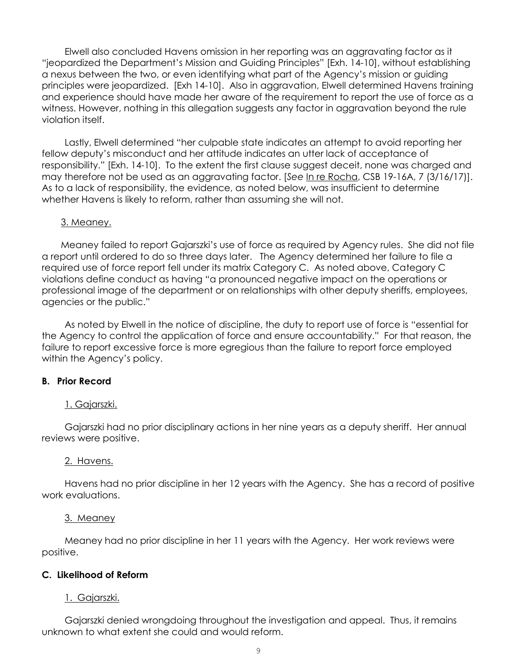Elwell also concluded Havens omission in her reporting was an aggravating factor as it "jeopardized the Department's Mission and Guiding Principles" [Exh. 14-10], without establishing a nexus between the two, or even identifying what part of the Agency's mission or guiding principles were jeopardized. [Exh 14-10]. Also in aggravation, Elwell determined Havens training and experience should have made her aware of the requirement to report the use of force as a witness. However, nothing in this allegation suggests any factor in aggravation beyond the rule violation itself.

Lastly, Elwell determined "her culpable state indicates an attempt to avoid reporting her fellow deputy's misconduct and her attitude indicates an utter lack of acceptance of responsibility." [Exh. 14-10]. To the extent the first clause suggest deceit, none was charged and may therefore not be used as an aggravating factor. [*See* In re Rocha, CSB 19-16A, 7 (3/16/17)]. As to a lack of responsibility, the evidence, as noted below, was insufficient to determine whether Havens is likely to reform, rather than assuming she will not.

#### 3. Meaney.

Meaney failed to report Gajarszki's use of force as required by Agency rules. She did not file a report until ordered to do so three days later. The Agency determined her failure to file a required use of force report fell under its matrix Category C. As noted above, Category C violations define conduct as having "a pronounced negative impact on the operations or professional image of the department or on relationships with other deputy sheriffs, employees, agencies or the public."

As noted by Elwell in the notice of discipline, the duty to report use of force is "essential for the Agency to control the application of force and ensure accountability." For that reason, the failure to report excessive force is more egregious than the failure to report force employed within the Agency's policy.

#### **B. Prior Record**

#### 1. Gajarszki.

Gajarszki had no prior disciplinary actions in her nine years as a deputy sheriff. Her annual reviews were positive.

#### 2. Havens.

Havens had no prior discipline in her 12 years with the Agency. She has a record of positive work evaluations.

#### 3. Meaney

Meaney had no prior discipline in her 11 years with the Agency. Her work reviews were positive.

#### **C. Likelihood of Reform**

#### 1. Gajarszki.

Gajarszki denied wrongdoing throughout the investigation and appeal. Thus, it remains unknown to what extent she could and would reform.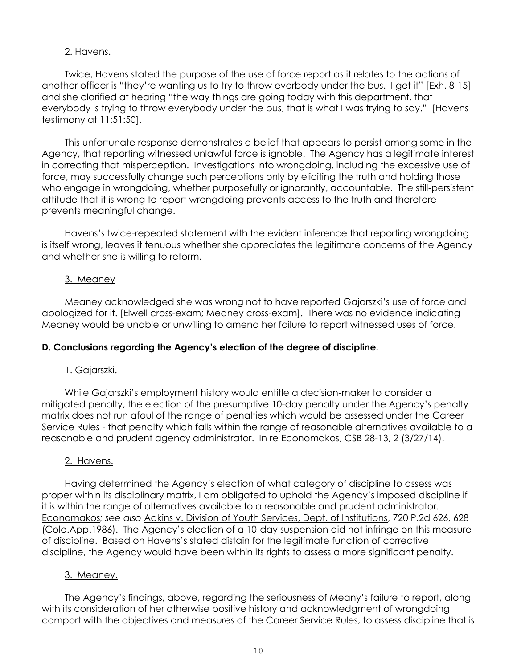## 2. Havens.

Twice, Havens stated the purpose of the use of force report as it relates to the actions of another officer is "they're wanting us to try to throw everbody under the bus. I get it" [Exh. 8-15] and she clarified at hearing "the way things are going today with this department, that everybody is trying to throw everybody under the bus, that is what I was trying to say." [Havens testimony at 11:51:50].

This unfortunate response demonstrates a belief that appears to persist among some in the Agency, that reporting witnessed unlawful force is ignoble. The Agency has a legitimate interest in correcting that misperception. Investigations into wrongdoing, including the excessive use of force, may successfully change such perceptions only by eliciting the truth and holding those who engage in wrongdoing, whether purposefully or ignorantly, accountable. The still-persistent attitude that it is wrong to report wrongdoing prevents access to the truth and therefore prevents meaningful change.

Havens's twice-repeated statement with the evident inference that reporting wrongdoing is itself wrong, leaves it tenuous whether she appreciates the legitimate concerns of the Agency and whether she is willing to reform.

## 3. Meaney

Meaney acknowledged she was wrong not to have reported Gajarszki's use of force and apologized for it. [Elwell cross-exam; Meaney cross-exam]. There was no evidence indicating Meaney would be unable or unwilling to amend her failure to report witnessed uses of force.

# **D. Conclusions regarding the Agency's election of the degree of discipline.**

# 1. Gajarszki.

While Gajarszki's employment history would entitle a decision-maker to consider a mitigated penalty, the election of the presumptive 10-day penalty under the Agency's penalty matrix does not run afoul of the range of penalties which would be assessed under the Career Service Rules - that penalty which falls within the range of reasonable alternatives available to a reasonable and prudent agency administrator. In re Economakos, CSB 28-13, 2 (3/27/14).

## 2. Havens.

Having determined the Agency's election of what category of discipline to assess was proper within its disciplinary matrix, I am obligated to uphold the Agency's imposed discipline if it is within the range of alternatives available to a reasonable and prudent administrator. Economakos*; see also* Adkins v. Division of Youth Services, Dept. of Institutions, 720 P.2d 626, 628 (Colo.App.1986). The Agency's election of a 10-day suspension did not infringe on this measure of discipline. Based on Havens's stated distain for the legitimate function of corrective discipline, the Agency would have been within its rights to assess a more significant penalty.

## 3. Meaney.

The Agency's findings, above, regarding the seriousness of Meany's failure to report, along with its consideration of her otherwise positive history and acknowledgment of wrongdoing comport with the objectives and measures of the Career Service Rules, to assess discipline that is